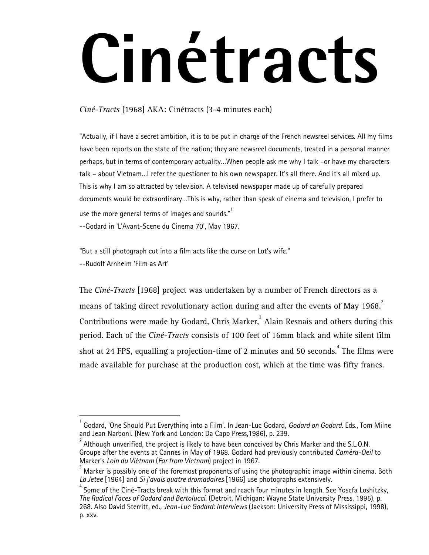## **Cinétracts**

*Ciné-Tracts* [1968] AKA: Cinétracts (3-4 minutes each)

"Actually, if I have a secret ambition, it is to be put in charge of the French newsreel services. All my films have been reports on the state of the nation; they are newsreel documents, treated in a personal manner perhaps, but in terms of contemporary actuality…When people ask me why I talk –or have my characters talk – about Vietnam…I refer the questioner to his own newspaper. It's all there. And it's all mixed up. This is why I am so attracted by television. A televised newspaper made up of carefully prepared documents would be extraordinary…This is why, rather than speak of cinema and television, I prefer to use the more general terms of images and sounds. $"$ 

--Godard in 'L'Avant-Scene du Cinema 70', May 1967.

 $\overline{a}$ 

"But a still photograph cut into a film acts like the curse on Lot's wife." --Rudolf Arnheim 'Film as Art'

The *Ciné-Tracts* [1968] project was undertaken by a number of French directors as a means of taking direct revolutionary action during and after the events of May 1968. Contributions were made by Godard, Chris Marker,  $3$  Alain Resnais and others during this period. Each of the *Ciné-Tracts* consists of 100 feet of 16mm black and white silent film shot at 24 FPS, equalling a projection-time of 2 minutes and 50 seconds. $^{\rm 4}$  The films were made available for purchase at the production cost, which at the time was fifty francs.

<sup>1</sup> Godard, 'One Should Put Everything into a Film'. In Jean-Luc Godard, *Godard on Godard*. Eds., Tom Milne and Jean Narboni. (New York and London: Da Capo Press,1986), p. 239.

<sup>2</sup> Although unverified, the project is likely to have been conceived by Chris Marker and the S.L.O.N. Groupe after the events at Cannes in May of 1968. Godard had previously contributed *Caméra-Oeil* to Marker's *Loin du Viêtnam* (*Far from Vietnam*) project in 1967. <sup>3</sup>

Marker is possibly one of the foremost proponents of using the photographic image within cinema. Both *La Jetee* [1964] and *Si j'avais quatre dromadaires* [1966] use photographs extensively.

 $^{\text{4}}$  Some of the Ciné-Tracts break with this format and reach four minutes in length. See Yosefa Loshitzky, *The Radical Faces of Godard and Bertolucci*. (Detroit, Michigan: Wayne State University Press, 1995), p. 268. Also David Sterritt, ed., *Jean-Luc Godard: Interviews* (Jackson: University Press of Mississippi, 1998), p. xxv.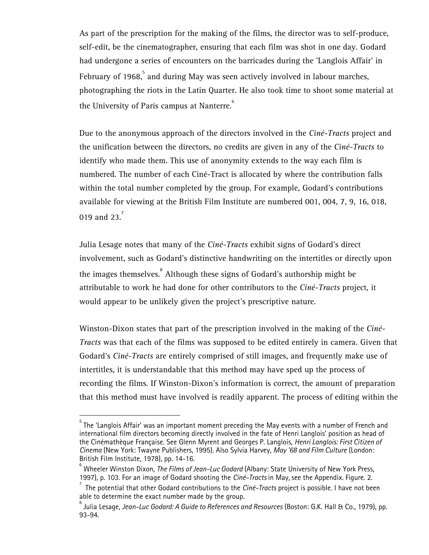As part of the prescription for the making of the films, the director was to self-produce, self-edit, be the cinematographer, ensuring that each film was shot in one day. Godard had undergone a series of encounters on the barricades during the 'Langlois Affair' in February of 1968, $^{\mathrm{5}}$  and during May was seen actively involved in labour marches, photographing the riots in the Latin Quarter. He also took time to shoot some material at the University of Paris campus at Nanterre.<sup>6</sup>

Due to the anonymous approach of the directors involved in the *Ciné-Tracts* project and the unification between the directors, no credits are given in any of the *Ciné-Tracts* to identify who made them. This use of anonymity extends to the way each film is numbered. The number of each Ciné-Tract is allocated by where the contribution falls within the total number completed by the group. For example, Godard's contributions available for viewing at the British Film Institute are numbered 001, 004, 7, 9, 16, 018, 019 and 23.<sup>7</sup>

Julia Lesage notes that many of the *Ciné-Tracts* exhibit signs of Godard's direct involvement, such as Godard's distinctive handwriting on the intertitles or directly upon the images themselves.  $\degree$  Although these signs of Godard's authorship might be attributable to work he had done for other contributors to the *Ciné-Tracts* project, it would appear to be unlikely given the project's prescriptive nature.

Winston-Dixon states that part of the prescription involved in the making of the *Ciné-Tracts* was that each of the films was supposed to be edited entirely in camera. Given that Godard's *Ciné-Tracts* are entirely comprised of still images, and frequently make use of intertitles, it is understandable that this method may have sped up the process of recording the films. If Winston-Dixon's information is correct, the amount of preparation that this method must have involved is readily apparent. The process of editing within the

 $^{\rm 5}$  The 'Langlois Affair' was an important moment preceding the May events with a number of French and international film directors becoming directly involved in the fate of Henri Langlois' position as head of the Cinémathèque Française. See Glenn Myrent and Georges P. Langlois, *Henri Langlois: First Citizen of Cinema* (New York: Twayne Publishers, 1995). Also Sylvia Harvey, *May '68 and Film Culture* (London: British Film Institute, 1978), pp. 14-16.

 $^{\circ}$  Wheeler Winston Dixon, *The Films of Jean-Luc Godard* (Albany: State University of New York Press, 1997), p. 103. For an image of Godard shooting the *Ciné-Tracts* in May*,* see the Appendix. Figure. 2.

<sup>7</sup> The potential that other Godard contributions to the *Ciné-Tracts* project is possible. I have not been able to determine the exact number made by the group.

<sup>&</sup>lt;sup>8</sup> Julia Lesage, *Jean-Luc Godard: A Guide to References and Resources* (Boston: G.K. Hall & Co., 1979), pp. 93-94.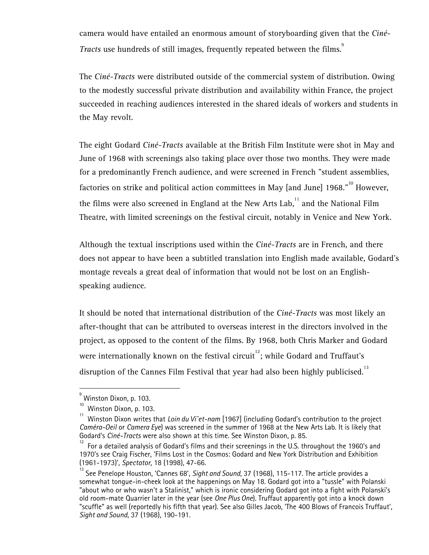camera would have entailed an enormous amount of storyboarding given that the *Ciné-Tracts* use hundreds of still images, frequently repeated between the films.

The *Ciné-Tracts* were distributed outside of the commercial system of distribution. Owing to the modestly successful private distribution and availability within France, the project succeeded in reaching audiences interested in the shared ideals of workers and students in the May revolt.

The eight Godard *Ciné-Tracts* available at the British Film Institute were shot in May and June of 1968 with screenings also taking place over those two months. They were made for a predominantly French audience, and were screened in French "student assemblies, factories on strike and political action committees in May [and June] 1968."<sup>10</sup> However, the films were also screened in England at the New Arts Lab, $11$  and the National Film Theatre, with limited screenings on the festival circuit, notably in Venice and New York.

Although the textual inscriptions used within the *Ciné-Tracts* are in French, and there does not appear to have been a subtitled translation into English made available, Godard's montage reveals a great deal of information that would not be lost on an Englishspeaking audience.

It should be noted that international distribution of the *Ciné-Tracts* was most likely an after-thought that can be attributed to overseas interest in the directors involved in the project, as opposed to the content of the films. By 1968, both Chris Marker and Godard were internationally known on the festival circuit<sup>12</sup>; while Godard and Truffaut's disruption of the Cannes Film Festival that year had also been highly publicised.<sup>13</sup>

<sup>&</sup>lt;sub>9</sub><br>Winston Dixon, p. 103.

 $\frac{10}{11}$  Winston Dixon, p. 103.

<sup>11</sup> Winston Dixon writes that *Loin du Viˆet-nam* [1967] (including Godard's contribution to the project *Caméra-Oeil* or *Camera Eye*) was screened in the summer of 1968 at the New Arts Lab. It is likely that

For a detailed analysis of Godard's films and their screenings in the U.S. throughout the 1960's and 1970's see Craig Fischer, 'Films Lost in the Cosmos: Godard and New York Distribution and Exhibition (1961-1973)', *Spectator*, 18 (1998), 47-66.

<sup>&</sup>lt;sup>13</sup> See Penelope Houston, 'Cannes 68', Sight and Sound, 37 (1968), 115-117. The article provides a somewhat tongue-in-cheek look at the happenings on May 18. Godard got into a "tussle" with Polanski "about who or who wasn't a Stalinist," which is ironic considering Godard got into a fight with Polanski's old room-mate Quarrier later in the year (see *One Plus One*). Truffaut apparently got into a knock down "scuffle" as well (reportedly his fifth that year). See also Gilles Jacob, 'The 400 Blows of Francois Truffaut', *Sight and Sound*, 37 (1968), 190-191.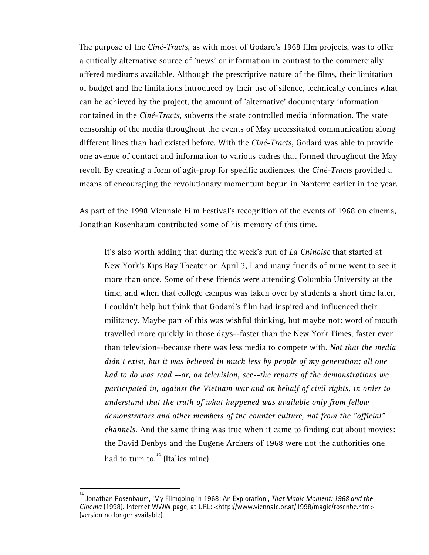The purpose of the *Ciné-Tracts*, as with most of Godard's 1968 film projects, was to offer a critically alternative source of 'news' or information in contrast to the commercially offered mediums available. Although the prescriptive nature of the films, their limitation of budget and the limitations introduced by their use of silence, technically confines what can be achieved by the project, the amount of 'alternative' documentary information contained in the *Ciné-Tracts*, subverts the state controlled media information. The state censorship of the media throughout the events of May necessitated communication along different lines than had existed before. With the *Ciné-Tracts*, Godard was able to provide one avenue of contact and information to various cadres that formed throughout the May revolt. By creating a form of agit-prop for specific audiences, the *Ciné-Tracts* provided a means of encouraging the revolutionary momentum begun in Nanterre earlier in the year.

As part of the 1998 Viennale Film Festival's recognition of the events of 1968 on cinema, Jonathan Rosenbaum contributed some of his memory of this time.

It's also worth adding that during the week's run of *La Chinoise* that started at New York's Kips Bay Theater on April 3, I and many friends of mine went to see it more than once. Some of these friends were attending Columbia University at the time, and when that college campus was taken over by students a short time later, I couldn't help but think that Godard's film had inspired and influenced their militancy. Maybe part of this was wishful thinking, but maybe not: word of mouth travelled more quickly in those days--faster than the New York Times, faster even than television--because there was less media to compete with. *Not that the media didn't exist, but it was believed in much less by people of my generation; all one had to do was read --or, on television, see--the reports of the demonstrations we participated in, against the Vietnam war and on behalf of civil rights, in order to understand that the truth of what happened was available only from fellow demonstrators and other members of the counter culture, not from the "official" channels.* And the same thing was true when it came to finding out about movies: the David Denbys and the Eugene Archers of 1968 were not the authorities one had to turn to. $14$  (Italics mine)

<sup>14</sup> Jonathan Rosenbaum, 'My Filmgoing in 1968: An Exploration', *That Magic Moment: 1968 and the Cinema* (1998). Internet WWW page, at URL: <http://www.viennale.or.at/1998/magic/rosenbe.htm> (version no longer available).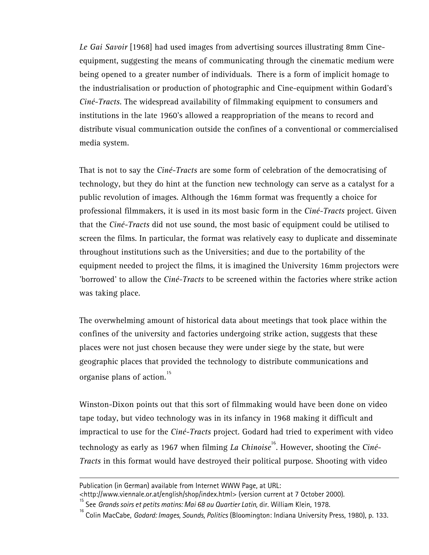*Le Gai Savoir* [1968] had used images from advertising sources illustrating 8mm Cineequipment, suggesting the means of communicating through the cinematic medium were being opened to a greater number of individuals. There is a form of implicit homage to the industrialisation or production of photographic and Cine-equipment within Godard's *Ciné-Tracts*. The widespread availability of filmmaking equipment to consumers and institutions in the late 1960's allowed a reappropriation of the means to record and distribute visual communication outside the confines of a conventional or commercialised media system.

That is not to say the *Ciné-Tracts* are some form of celebration of the democratising of technology, but they do hint at the function new technology can serve as a catalyst for a public revolution of images. Although the 16mm format was frequently a choice for professional filmmakers, it is used in its most basic form in the *Ciné-Tracts* project. Given that the *Ciné-Tracts* did not use sound, the most basic of equipment could be utilised to screen the films. In particular, the format was relatively easy to duplicate and disseminate throughout institutions such as the Universities; and due to the portability of the equipment needed to project the films, it is imagined the University 16mm projectors were 'borrowed' to allow the *Ciné-Tracts* to be screened within the factories where strike action was taking place.

The overwhelming amount of historical data about meetings that took place within the confines of the university and factories undergoing strike action, suggests that these places were not just chosen because they were under siege by the state, but were geographic places that provided the technology to distribute communications and organise plans of action.<sup>15</sup>

Winston-Dixon points out that this sort of filmmaking would have been done on video tape today, but video technology was in its infancy in 1968 making it difficult and impractical to use for the *Ciné-Tracts* project. Godard had tried to experiment with video technology as early as 1967 when filming *La Chinoise*<sup>16</sup>. However, shooting the *Ciné-Tracts* in this format would have destroyed their political purpose. Shooting with video

Publication (in German) available from Internet WWW Page, at URL:

<sup>&</sup>lt;http://www.viennale.or.at/english/shop/index.html> (version current at 7 October 2000).<br><sup>15</sup> See *Grands soirs et petits matins: Mai 68 au Quartier Latin*, dir. William Klein, 1978.

<sup>&</sup>lt;sup>16</sup> Colin MacCabe, Godard: Images, Sounds, Politics (Bloomington: Indiana University Press, 1980), p. 133.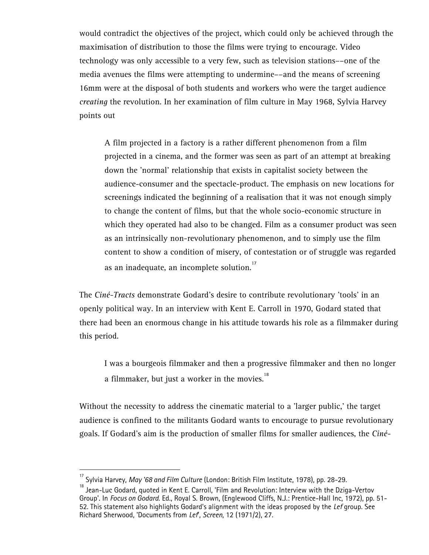would contradict the objectives of the project, which could only be achieved through the maximisation of distribution to those the films were trying to encourage. Video technology was only accessible to a very few, such as television stations––one of the media avenues the films were attempting to undermine––and the means of screening 16mm were at the disposal of both students and workers who were the target audience *creating* the revolution. In her examination of film culture in May 1968, Sylvia Harvey points out

A film projected in a factory is a rather different phenomenon from a film projected in a cinema, and the former was seen as part of an attempt at breaking down the 'normal' relationship that exists in capitalist society between the audience-consumer and the spectacle-product. The emphasis on new locations for screenings indicated the beginning of a realisation that it was not enough simply to change the content of films, but that the whole socio-economic structure in which they operated had also to be changed. Film as a consumer product was seen as an intrinsically non-revolutionary phenomenon, and to simply use the film content to show a condition of misery, of contestation or of struggle was regarded as an inadequate, an incomplete solution.<sup>17</sup>

The *Ciné-Tracts* demonstrate Godard's desire to contribute revolutionary 'tools' in an openly political way. In an interview with Kent E. Carroll in 1970, Godard stated that there had been an enormous change in his attitude towards his role as a filmmaker during this period.

I was a bourgeois filmmaker and then a progressive filmmaker and then no longer a filmmaker, but just a worker in the movies. $18$ 

Without the necessity to address the cinematic material to a 'larger public,' the target audience is confined to the militants Godard wants to encourage to pursue revolutionary goals. If Godard's aim is the production of smaller films for smaller audiences, the *Ciné-*

<sup>&</sup>lt;sup>17</sup> Sylvia Harvey, *May '68 and Film Culture* (London: British Film Institute, 1978), pp. 28-29.<br><sup>18</sup> Jean-Luc Godard, quoted in Kent E. Carroll, 'Film and Revolution: Interview with the Dziga-Vertov Group'. In *Focus on Godard*. Ed., Royal S. Brown, (Englewood Cliffs, N.J.: Prentice-Hall Inc, 1972), pp. 51- 52. This statement also highlights Godard's alignment with the ideas proposed by the *Lef* group. See Richard Sherwood, 'Documents from *Lef*', *Screen*, 12 (1971/2), 27.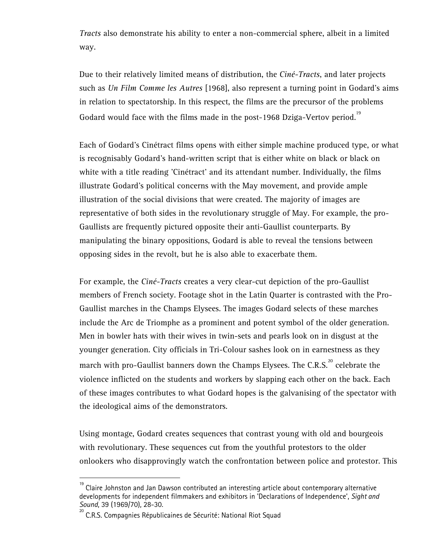*Tracts* also demonstrate his ability to enter a non-commercial sphere, albeit in a limited way.

Due to their relatively limited means of distribution, the *Ciné-Tracts*, and later projects such as *Un Film Comme les Autres* [1968], also represent a turning point in Godard's aims in relation to spectatorship. In this respect, the films are the precursor of the problems Godard would face with the films made in the post-1968 Dziga-Vertov period.<sup>19</sup>

Each of Godard's Cinétract films opens with either simple machine produced type, or what is recognisably Godard's hand-written script that is either white on black or black on white with a title reading 'Cinétract' and its attendant number. Individually, the films illustrate Godard's political concerns with the May movement, and provide ample illustration of the social divisions that were created. The majority of images are representative of both sides in the revolutionary struggle of May. For example, the pro-Gaullists are frequently pictured opposite their anti-Gaullist counterparts. By manipulating the binary oppositions, Godard is able to reveal the tensions between opposing sides in the revolt, but he is also able to exacerbate them.

For example, the *Ciné-Tracts* creates a very clear-cut depiction of the pro-Gaullist members of French society. Footage shot in the Latin Quarter is contrasted with the Pro-Gaullist marches in the Champs Elysees. The images Godard selects of these marches include the Arc de Triomphe as a prominent and potent symbol of the older generation. Men in bowler hats with their wives in twin-sets and pearls look on in disgust at the younger generation. City officials in Tri-Colour sashes look on in earnestness as they march with pro-Gaullist banners down the Champs Elysees. The C.R.S. $^{20}$  celebrate the violence inflicted on the students and workers by slapping each other on the back. Each of these images contributes to what Godard hopes is the galvanising of the spectator with the ideological aims of the demonstrators.

Using montage, Godard creates sequences that contrast young with old and bourgeois with revolutionary. These sequences cut from the youthful protestors to the older onlookers who disapprovingly watch the confrontation between police and protestor. This

<sup>19</sup> Claire Johnston and Jan Dawson contributed an interesting article about contemporary alternative developments for independent filmmakers and exhibitors in 'Declarations of Independence', *Sight and Sound*, 39 (1969/70), 28-30.

<sup>20</sup> C.R.S. Compagnies Républicaines de Sécurité: National Riot Squad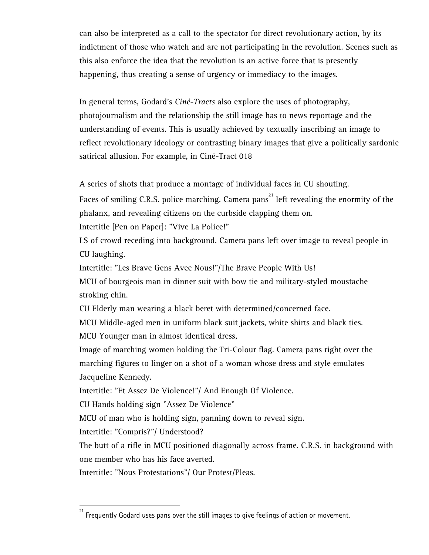can also be interpreted as a call to the spectator for direct revolutionary action, by its indictment of those who watch and are not participating in the revolution. Scenes such as this also enforce the idea that the revolution is an active force that is presently happening, thus creating a sense of urgency or immediacy to the images.

In general terms, Godard's *Ciné-Tracts* also explore the uses of photography, photojournalism and the relationship the still image has to news reportage and the understanding of events. This is usually achieved by textually inscribing an image to reflect revolutionary ideology or contrasting binary images that give a politically sardonic satirical allusion. For example, in Ciné-Tract 018

A series of shots that produce a montage of individual faces in CU shouting.

Faces of smiling C.R.S. police marching. Camera pans $^{21}$  left revealing the enormity of the phalanx, and revealing citizens on the curbside clapping them on.

Intertitle [Pen on Paper]: "Vive La Police!"

LS of crowd receding into background. Camera pans left over image to reveal people in CU laughing.

Intertitle: "Les Brave Gens Avec Nous!"/The Brave People With Us!

MCU of bourgeois man in dinner suit with bow tie and military-styled moustache stroking chin.

CU Elderly man wearing a black beret with determined/concerned face.

MCU Middle-aged men in uniform black suit jackets, white shirts and black ties.

MCU Younger man in almost identical dress,

Image of marching women holding the Tri-Colour flag. Camera pans right over the marching figures to linger on a shot of a woman whose dress and style emulates Jacqueline Kennedy.

Intertitle: "Et Assez De Violence!"/ And Enough Of Violence.

CU Hands holding sign "Assez De Violence"

MCU of man who is holding sign, panning down to reveal sign.

Intertitle: "Compris?"/ Understood?

 $\overline{a}$ 

The butt of a rifle in MCU positioned diagonally across frame. C.R.S. in background with one member who has his face averted.

Intertitle: "Nous Protestations"/ Our Protest/Pleas.

Frequently Godard uses pans over the still images to give feelings of action or movement.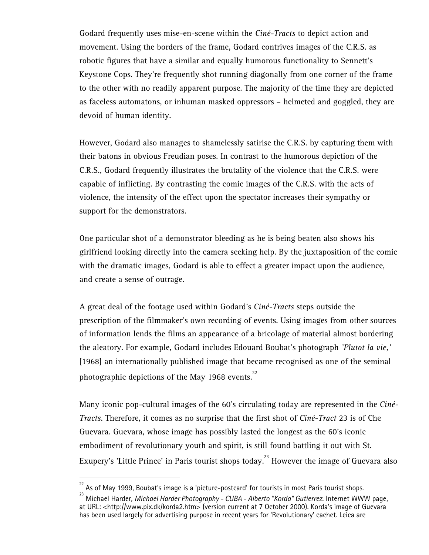Godard frequently uses mise-en-scene within the *Ciné-Tracts* to depict action and movement. Using the borders of the frame, Godard contrives images of the C.R.S. as robotic figures that have a similar and equally humorous functionality to Sennett's Keystone Cops. They're frequently shot running diagonally from one corner of the frame to the other with no readily apparent purpose. The majority of the time they are depicted as faceless automatons, or inhuman masked oppressors – helmeted and goggled, they are devoid of human identity.

However, Godard also manages to shamelessly satirise the C.R.S. by capturing them with their batons in obvious Freudian poses. In contrast to the humorous depiction of the C.R.S., Godard frequently illustrates the brutality of the violence that the C.R.S. were capable of inflicting. By contrasting the comic images of the C.R.S. with the acts of violence, the intensity of the effect upon the spectator increases their sympathy or support for the demonstrators.

One particular shot of a demonstrator bleeding as he is being beaten also shows his girlfriend looking directly into the camera seeking help. By the juxtaposition of the comic with the dramatic images, Godard is able to effect a greater impact upon the audience, and create a sense of outrage.

A great deal of the footage used within Godard's *Ciné-Tracts* steps outside the prescription of the filmmaker's own recording of events. Using images from other sources of information lends the films an appearance of a bricolage of material almost bordering the aleatory. For example, Godard includes Edouard Boubat's photograph *'Plutot la vie,'* [1968] an internationally published image that became recognised as one of the seminal photographic depictions of the May 1968 events. $^{22}$ 

Many iconic pop-cultural images of the 60's circulating today are represented in the *Ciné-Tracts*. Therefore, it comes as no surprise that the first shot of *Ciné-Tract* 23 is of Che Guevara. Guevara, whose image has possibly lasted the longest as the 60's iconic embodiment of revolutionary youth and spirit, is still found battling it out with St. Exupery's 'Little Prince' in Paris tourist shops today.<sup>23</sup> However the image of Guevara also

As of May 1999, Boubat's image is a 'picture-postcard' for tourists in most Paris tourist shops.

<sup>23</sup> Michael Harder, *Michael Harder Photography - CUBA - Alberto "Korda" Gutierrez*. Internet WWW page, at URL: <http://www.pix.dk/korda2.htm> (version current at 7 October 2000). Korda's image of Guevara has been used largely for advertising purpose in recent years for 'Revolutionary' cachet. Leica are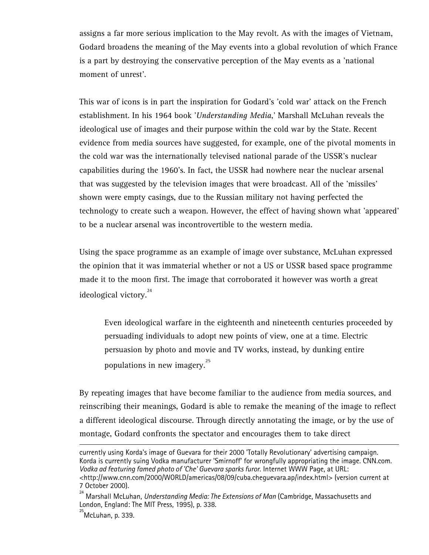assigns a far more serious implication to the May revolt. As with the images of Vietnam, Godard broadens the meaning of the May events into a global revolution of which France is a part by destroying the conservative perception of the May events as a 'national moment of unrest'.

This war of icons is in part the inspiration for Godard's 'cold war' attack on the French establishment. In his 1964 book '*Understanding Media*,' Marshall McLuhan reveals the ideological use of images and their purpose within the cold war by the State. Recent evidence from media sources have suggested, for example, one of the pivotal moments in the cold war was the internationally televised national parade of the USSR's nuclear capabilities during the 1960's. In fact, the USSR had nowhere near the nuclear arsenal that was suggested by the television images that were broadcast. All of the 'missiles' shown were empty casings, due to the Russian military not having perfected the technology to create such a weapon. However, the effect of having shown what 'appeared' to be a nuclear arsenal was incontrovertible to the western media.

Using the space programme as an example of image over substance, McLuhan expressed the opinion that it was immaterial whether or not a US or USSR based space programme made it to the moon first. The image that corroborated it however was worth a great ideological victory.<sup>24</sup>

Even ideological warfare in the eighteenth and nineteenth centuries proceeded by persuading individuals to adopt new points of view, one at a time. Electric persuasion by photo and movie and TV works, instead, by dunking entire populations in new imagery.<sup>25</sup>

By repeating images that have become familiar to the audience from media sources, and reinscribing their meanings, Godard is able to remake the meaning of the image to reflect a different ideological discourse. Through directly annotating the image, or by the use of montage, Godard confronts the spectator and encourages them to take direct

currently using Korda's image of Guevara for their 2000 'Totally Revolutionary' advertising campaign. Korda is currently suing Vodka manufacturer 'Smirnoff' for wrongfully appropriating the image. CNN.com. *Vodka ad featuring famed photo of 'Che' Guevara sparks furor*. Internet WWW Page, at URL: <http://www.cnn.com/2000/WORLD/americas/08/09/cuba.cheguevara.ap/index.html> (version current at 7 October 2000).

<sup>24</sup> Marshall McLuhan, *Understanding Media: The Extensions of Man* (Cambridge, Massachusetts and London, England: The MIT Press, 1995), p. 338.

 $^{25}$ McLuhan, p. 339.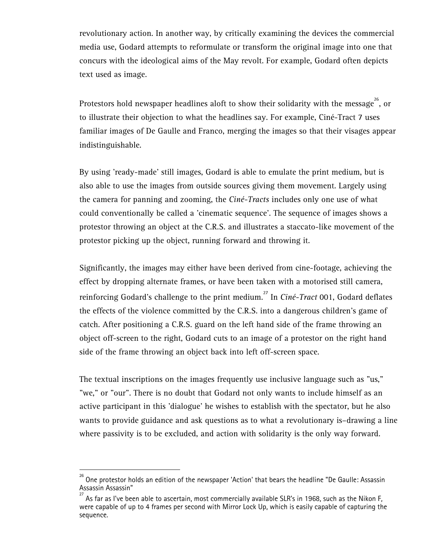revolutionary action. In another way, by critically examining the devices the commercial media use, Godard attempts to reformulate or transform the original image into one that concurs with the ideological aims of the May revolt. For example, Godard often depicts text used as image.

Protestors hold newspaper headlines aloft to show their solidarity with the message $^{26}$ , or to illustrate their objection to what the headlines say. For example, Ciné-Tract 7 uses familiar images of De Gaulle and Franco, merging the images so that their visages appear indistinguishable.

By using 'ready-made' still images, Godard is able to emulate the print medium, but is also able to use the images from outside sources giving them movement. Largely using the camera for panning and zooming, the *Ciné-Tracts* includes only one use of what could conventionally be called a 'cinematic sequence'. The sequence of images shows a protestor throwing an object at the C.R.S. and illustrates a staccato-like movement of the protestor picking up the object, running forward and throwing it.

Significantly, the images may either have been derived from cine-footage, achieving the effect by dropping alternate frames, or have been taken with a motorised still camera, reinforcing Godard's challenge to the print medium.27 In *Ciné-Tract* 001, Godard deflates the effects of the violence committed by the C.R.S. into a dangerous children's game of catch. After positioning a C.R.S. guard on the left hand side of the frame throwing an object off-screen to the right, Godard cuts to an image of a protestor on the right hand side of the frame throwing an object back into left off-screen space.

The textual inscriptions on the images frequently use inclusive language such as "us," "we," or "our". There is no doubt that Godard not only wants to include himself as an active participant in this 'dialogue' he wishes to establish with the spectator, but he also wants to provide guidance and ask questions as to what a revolutionary is–drawing a line where passivity is to be excluded, and action with solidarity is the only way forward.

<sup>26</sup> One protestor holds an edition of the newspaper 'Action' that bears the headline "De Gaulle: Assassin Assassin Assassin"

As far as I've been able to ascertain, most commercially available SLR's in 1968, such as the Nikon F, were capable of up to 4 frames per second with Mirror Lock Up, which is easily capable of capturing the sequence.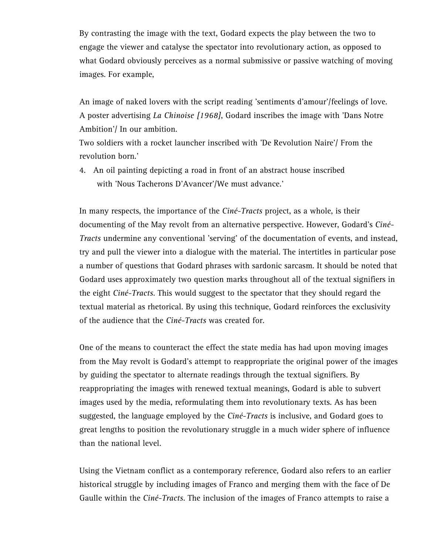By contrasting the image with the text, Godard expects the play between the two to engage the viewer and catalyse the spectator into revolutionary action, as opposed to what Godard obviously perceives as a normal submissive or passive watching of moving images. For example,

An image of naked lovers with the script reading 'sentiments d'amour'/feelings of love. A poster advertising *La Chinoise [1968]*, Godard inscribes the image with 'Dans Notre Ambition'/ In our ambition.

Two soldiers with a rocket launcher inscribed with 'De Revolution Naire'/ From the revolution born.'

4. An oil painting depicting a road in front of an abstract house inscribed with 'Nous Tacherons D'Avancer'/We must advance.'

In many respects, the importance of the *Ciné-Tracts* project, as a whole, is their documenting of the May revolt from an alternative perspective. However, Godard's *Ciné-Tracts* undermine any conventional 'serving' of the documentation of events, and instead, try and pull the viewer into a dialogue with the material. The intertitles in particular pose a number of questions that Godard phrases with sardonic sarcasm. It should be noted that Godard uses approximately two question marks throughout all of the textual signifiers in the eight *Ciné-Tracts*. This would suggest to the spectator that they should regard the textual material as rhetorical. By using this technique, Godard reinforces the exclusivity of the audience that the *Ciné-Tracts* was created for.

One of the means to counteract the effect the state media has had upon moving images from the May revolt is Godard's attempt to reappropriate the original power of the images by guiding the spectator to alternate readings through the textual signifiers. By reappropriating the images with renewed textual meanings, Godard is able to subvert images used by the media, reformulating them into revolutionary texts. As has been suggested, the language employed by the *Ciné-Tracts* is inclusive, and Godard goes to great lengths to position the revolutionary struggle in a much wider sphere of influence than the national level.

Using the Vietnam conflict as a contemporary reference, Godard also refers to an earlier historical struggle by including images of Franco and merging them with the face of De Gaulle within the *Ciné-Tracts*. The inclusion of the images of Franco attempts to raise a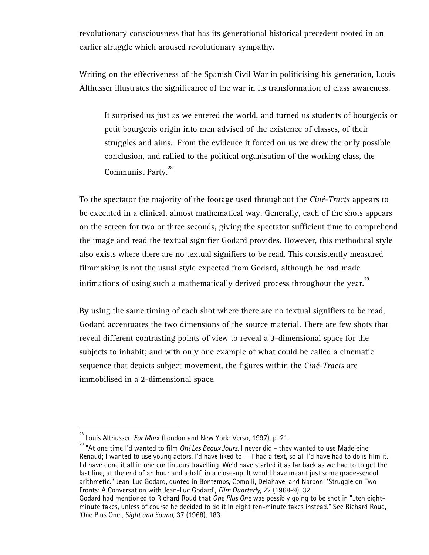revolutionary consciousness that has its generational historical precedent rooted in an earlier struggle which aroused revolutionary sympathy.

Writing on the effectiveness of the Spanish Civil War in politicising his generation, Louis Althusser illustrates the significance of the war in its transformation of class awareness.

It surprised us just as we entered the world, and turned us students of bourgeois or petit bourgeois origin into men advised of the existence of classes, of their struggles and aims. From the evidence it forced on us we drew the only possible conclusion, and rallied to the political organisation of the working class, the Communist Party.<sup>28</sup>

To the spectator the majority of the footage used throughout the *Ciné-Tracts* appears to be executed in a clinical, almost mathematical way. Generally, each of the shots appears on the screen for two or three seconds, giving the spectator sufficient time to comprehend the image and read the textual signifier Godard provides. However, this methodical style also exists where there are no textual signifiers to be read. This consistently measured filmmaking is not the usual style expected from Godard, although he had made intimations of using such a mathematically derived process throughout the year. $^{29}$ 

By using the same timing of each shot where there are no textual signifiers to be read, Godard accentuates the two dimensions of the source material. There are few shots that reveal different contrasting points of view to reveal a 3-dimensional space for the subjects to inhabit; and with only one example of what could be called a cinematic sequence that depicts subject movement, the figures within the *Ciné-Tracts* are immobilised in a 2-dimensional space.

<sup>&</sup>lt;sup>28</sup> Louis Althusser, *For Marx* (London and New York: Verso, 1997), p. 21.<br><sup>29</sup> "At one time I'd wanted to film *Oh! Les Beaux Jours*. I never did - they wanted to use Madeleine Renaud; I wanted to use young actors. I'd have liked to -- I had a text, so all I'd have had to do is film it. I'd have done it all in one continuous travelling. We'd have started it as far back as we had to to get the last line, at the end of an hour and a half, in a close-up. It would have meant just some grade-school arithmetic." Jean-Luc Godard, quoted in Bontemps, Comolli, Delahaye, and Narboni 'Struggle on Two Fronts: A Conversation with Jean-Luc Godard', *Film Quarterly*, 22 (1968-9), 32.

Godard had mentioned to Richard Roud that *One Plus One* was possibly going to be shot in "..ten eightminute takes, unless of course he decided to do it in eight ten-minute takes instead." See Richard Roud, 'One Plus One', *Sight and Sound*, 37 (1968), 183.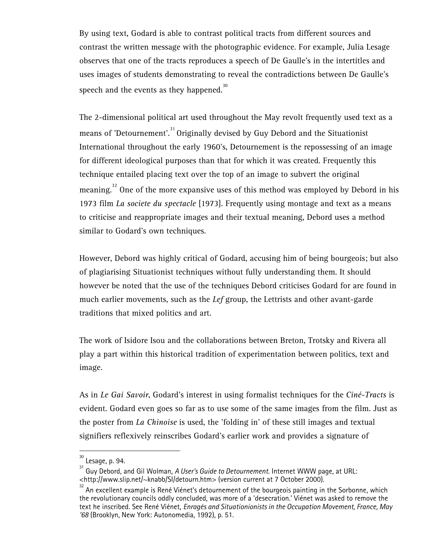By using text, Godard is able to contrast political tracts from different sources and contrast the written message with the photographic evidence. For example, Julia Lesage observes that one of the tracts reproduces a speech of De Gaulle's in the intertitles and uses images of students demonstrating to reveal the contradictions between De Gaulle's speech and the events as they happened.<sup>30</sup>

The 2-dimensional political art used throughout the May revolt frequently used text as a means of 'Detournement'.<sup>31</sup> Originally devised by Guy Debord and the Situationist International throughout the early 1960's, Detournement is the repossessing of an image for different ideological purposes than that for which it was created. Frequently this technique entailed placing text over the top of an image to subvert the original meaning.<sup>32</sup> One of the more expansive uses of this method was employed by Debord in his 1973 film *La societe du spectacle* [1973]. Frequently using montage and text as a means to criticise and reappropriate images and their textual meaning, Debord uses a method similar to Godard's own techniques.

However, Debord was highly critical of Godard, accusing him of being bourgeois; but also of plagiarising Situationist techniques without fully understanding them. It should however be noted that the use of the techniques Debord criticises Godard for are found in much earlier movements, such as the *Lef* group, the Lettrists and other avant-garde traditions that mixed politics and art.

The work of Isidore Isou and the collaborations between Breton, Trotsky and Rivera all play a part within this historical tradition of experimentation between politics, text and image.

As in *Le Gai Savoir*, Godard's interest in using formalist techniques for the *Ciné-Tracts* is evident. Godard even goes so far as to use some of the same images from the film. Just as the poster from *La Chinoise* is used, the 'folding in' of these still images and textual signifiers reflexively reinscribes Godard's earlier work and provides a signature of

Lesage, p. 94.

<sup>31</sup> Guy Debord, and Gil Wolman, *A User's Guide to Detournement*. Internet WWW page, at URL: <http://www.slip.net/~knabb/SI/detourn.htm> (version current at 7 October 2000).

 $32$  An excellent example is René Viénet's detournement of the bourgeois painting in the Sorbonne, which the revolutionary councils oddly concluded, was more of a 'desecration.' Viénet was asked to remove the text he inscribed. See René Viénet, *Enragés and Situationionists in the Occupation Movement, France, May '68* (Brooklyn, New York: Autonomedia, 1992), p. 51.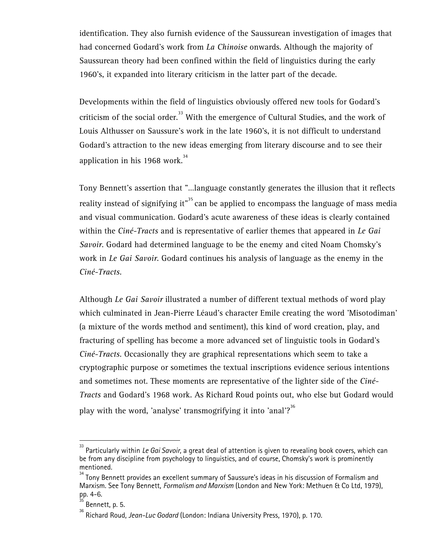identification. They also furnish evidence of the Saussurean investigation of images that had concerned Godard's work from *La Chinoise* onwards. Although the majority of Saussurean theory had been confined within the field of linguistics during the early 1960's, it expanded into literary criticism in the latter part of the decade.

Developments within the field of linguistics obviously offered new tools for Godard's criticism of the social order.<sup>33</sup> With the emergence of Cultural Studies, and the work of Louis Althusser on Saussure's work in the late 1960's, it is not difficult to understand Godard's attraction to the new ideas emerging from literary discourse and to see their application in his 1968 work.<sup>34</sup>

Tony Bennett's assertion that "…language constantly generates the illusion that it reflects reality instead of signifying it"<sup>35</sup> can be applied to encompass the language of mass media and visual communication. Godard's acute awareness of these ideas is clearly contained within the *Ciné-Tracts* and is representative of earlier themes that appeared in *Le Gai Savoir*. Godard had determined language to be the enemy and cited Noam Chomsky's work in *Le Gai Savoir*. Godard continues his analysis of language as the enemy in the *Ciné-Tracts*.

Although *Le Gai Savoir* illustrated a number of different textual methods of word play which culminated in Jean-Pierre Léaud's character Emile creating the word 'Misotodiman' (a mixture of the words method and sentiment), this kind of word creation, play, and fracturing of spelling has become a more advanced set of linguistic tools in Godard's *Ciné-Tracts*. Occasionally they are graphical representations which seem to take a cryptographic purpose or sometimes the textual inscriptions evidence serious intentions and sometimes not. These moments are representative of the lighter side of the *Ciné-Tracts* and Godard's 1968 work. As Richard Roud points out, who else but Godard would play with the word, 'analyse' transmogrifying it into 'anal'?<sup>36</sup>

<sup>&</sup>lt;sup>33</sup> Particularly within *Le Gai Savoir*, a great deal of attention is given to revealing book covers, which can be from any discipline from psychology to linguistics, and of course, Chomsky's work is prominently mentioned.

 $34$  Tony Bennett provides an excellent summary of Saussure's ideas in his discussion of Formalism and Marxism. See Tony Bennett, *Formalism and Marxism* (London and New York: Methuen & Co Ltd, 1979), pp. 4-6.

Bennett, p. 5.

<sup>36</sup> Richard Roud, *Jean-Luc Godard* (London: Indiana University Press, 1970), p. 170.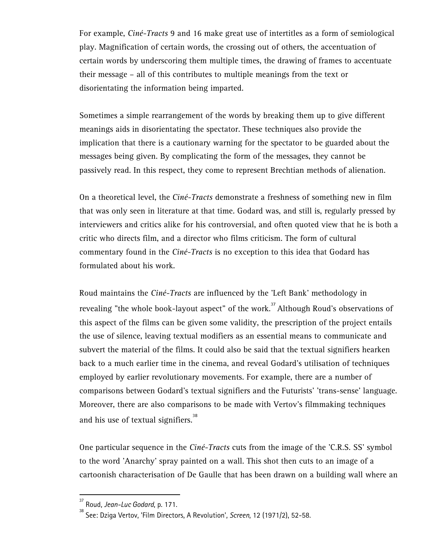For example, *Ciné-Tracts* 9 and 16 make great use of intertitles as a form of semiological play. Magnification of certain words, the crossing out of others, the accentuation of certain words by underscoring them multiple times, the drawing of frames to accentuate their message – all of this contributes to multiple meanings from the text or disorientating the information being imparted.

Sometimes a simple rearrangement of the words by breaking them up to give different meanings aids in disorientating the spectator. These techniques also provide the implication that there is a cautionary warning for the spectator to be guarded about the messages being given. By complicating the form of the messages, they cannot be passively read. In this respect, they come to represent Brechtian methods of alienation.

On a theoretical level, the *Ciné-Tracts* demonstrate a freshness of something new in film that was only seen in literature at that time. Godard was, and still is, regularly pressed by interviewers and critics alike for his controversial, and often quoted view that he is both a critic who directs film, and a director who films criticism. The form of cultural commentary found in the *Ciné-Tracts* is no exception to this idea that Godard has formulated about his work.

Roud maintains the *Ciné-Tracts* are influenced by the 'Left Bank' methodology in revealing "the whole book-layout aspect" of the work.<sup>37</sup> Although Roud's observations of this aspect of the films can be given some validity, the prescription of the project entails the use of silence, leaving textual modifiers as an essential means to communicate and subvert the material of the films. It could also be said that the textual signifiers hearken back to a much earlier time in the cinema, and reveal Godard's utilisation of techniques employed by earlier revolutionary movements. For example, there are a number of comparisons between Godard's textual signifiers and the Futurists' 'trans-sense' language. Moreover, there are also comparisons to be made with Vertov's filmmaking techniques and his use of textual signifiers. $38$ 

One particular sequence in the *Ciné-Tracts* cuts from the image of the 'C.R.S. SS' symbol to the word 'Anarchy' spray painted on a wall. This shot then cuts to an image of a cartoonish characterisation of De Gaulle that has been drawn on a building wall where an

<sup>37</sup> Roud, *Jean-Luc Godard*, p. 171. 38 See: Dziga Vertov, 'Film Directors, A Revolution', *Screen*, 12 (1971/2), 52-58.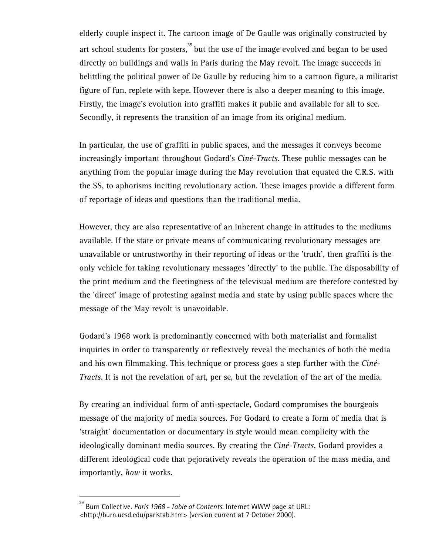elderly couple inspect it. The cartoon image of De Gaulle was originally constructed by art school students for posters, $39$  but the use of the image evolved and began to be used directly on buildings and walls in Paris during the May revolt. The image succeeds in belittling the political power of De Gaulle by reducing him to a cartoon figure, a militarist figure of fun, replete with kepe. However there is also a deeper meaning to this image. Firstly, the image's evolution into graffiti makes it public and available for all to see. Secondly, it represents the transition of an image from its original medium.

In particular, the use of graffiti in public spaces, and the messages it conveys become increasingly important throughout Godard's *Ciné-Tracts*. These public messages can be anything from the popular image during the May revolution that equated the C.R.S. with the SS, to aphorisms inciting revolutionary action. These images provide a different form of reportage of ideas and questions than the traditional media.

However, they are also representative of an inherent change in attitudes to the mediums available. If the state or private means of communicating revolutionary messages are unavailable or untrustworthy in their reporting of ideas or the 'truth', then graffiti is the only vehicle for taking revolutionary messages 'directly' to the public. The disposability of the print medium and the fleetingness of the televisual medium are therefore contested by the 'direct' image of protesting against media and state by using public spaces where the message of the May revolt is unavoidable.

Godard's 1968 work is predominantly concerned with both materialist and formalist inquiries in order to transparently or reflexively reveal the mechanics of both the media and his own filmmaking. This technique or process goes a step further with the *Ciné-Tracts*. It is not the revelation of art, per se, but the revelation of the art of the media.

By creating an individual form of anti-spectacle, Godard compromises the bourgeois message of the majority of media sources. For Godard to create a form of media that is 'straight' documentation or documentary in style would mean complicity with the ideologically dominant media sources. By creating the *Ciné-Tracts*, Godard provides a different ideological code that pejoratively reveals the operation of the mass media, and importantly, *how* it works.

<sup>39</sup> Burn Collective. *Paris 1968 - Table of Contents*. Internet WWW page at URL: <http://burn.ucsd.edu/paristab.htm> (version current at 7 October 2000).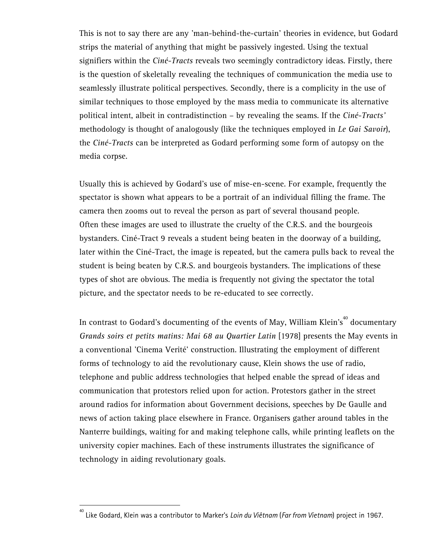This is not to say there are any 'man-behind-the-curtain' theories in evidence, but Godard strips the material of anything that might be passively ingested. Using the textual signifiers within the *Ciné-Tracts* reveals two seemingly contradictory ideas. Firstly, there is the question of skeletally revealing the techniques of communication the media use to seamlessly illustrate political perspectives. Secondly, there is a complicity in the use of similar techniques to those employed by the mass media to communicate its alternative political intent, albeit in contradistinction – by revealing the seams. If the *Ciné-Tracts'* methodology is thought of analogously (like the techniques employed in *Le Gai Savoir*), the *Ciné-Tracts* can be interpreted as Godard performing some form of autopsy on the media corpse.

Usually this is achieved by Godard's use of mise-en-scene. For example, frequently the spectator is shown what appears to be a portrait of an individual filling the frame. The camera then zooms out to reveal the person as part of several thousand people. Often these images are used to illustrate the cruelty of the C.R.S. and the bourgeois bystanders. Ciné-Tract 9 reveals a student being beaten in the doorway of a building, later within the Ciné-Tract, the image is repeated, but the camera pulls back to reveal the student is being beaten by C.R.S. and bourgeois bystanders. The implications of these types of shot are obvious. The media is frequently not giving the spectator the total picture, and the spectator needs to be re-educated to see correctly.

In contrast to Godard's documenting of the events of May, William Klein's<sup>40</sup> documentary *Grands soirs et petits matins: Mai 68 au Quartier Latin* [1978] presents the May events in a conventional 'Cinema Verité' construction. Illustrating the employment of different forms of technology to aid the revolutionary cause, Klein shows the use of radio, telephone and public address technologies that helped enable the spread of ideas and communication that protestors relied upon for action. Protestors gather in the street around radios for information about Government decisions, speeches by De Gaulle and news of action taking place elsewhere in France. Organisers gather around tables in the Nanterre buildings, waiting for and making telephone calls, while printing leaflets on the university copier machines. Each of these instruments illustrates the significance of technology in aiding revolutionary goals.

<sup>40</sup> Like Godard, Klein was a contributor to Marker's *Loin du Viêtnam* (*Far from Vietnam*) project in 1967.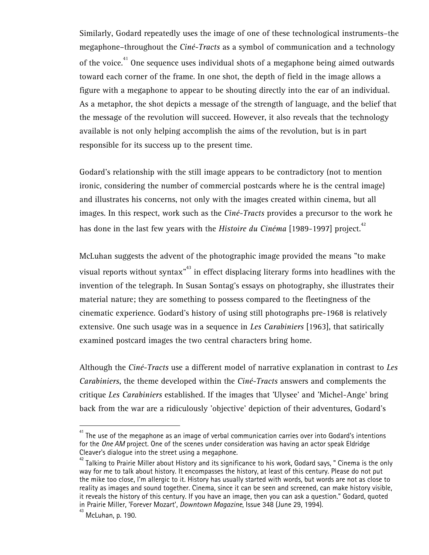Similarly, Godard repeatedly uses the image of one of these technological instruments–the megaphone–throughout the *Ciné-Tracts* as a symbol of communication and a technology of the voice.<sup>41</sup> One sequence uses individual shots of a megaphone being aimed outwards toward each corner of the frame. In one shot, the depth of field in the image allows a figure with a megaphone to appear to be shouting directly into the ear of an individual. As a metaphor, the shot depicts a message of the strength of language, and the belief that the message of the revolution will succeed. However, it also reveals that the technology available is not only helping accomplish the aims of the revolution, but is in part responsible for its success up to the present time.

Godard's relationship with the still image appears to be contradictory (not to mention ironic, considering the number of commercial postcards where he is the central image) and illustrates his concerns, not only with the images created within cinema, but all images. In this respect, work such as the *Ciné-Tracts* provides a precursor to the work he has done in the last few years with the *Histoire du Cinéma* [1989-1997] project.<sup>42</sup>

McLuhan suggests the advent of the photographic image provided the means "to make visual reports without syntax $^{43}$  in effect displacing literary forms into headlines with the invention of the telegraph. In Susan Sontag's essays on photography, she illustrates their material nature; they are something to possess compared to the fleetingness of the cinematic experience. Godard's history of using still photographs pre-1968 is relatively extensive. One such usage was in a sequence in *Les Carabiniers* [1963], that satirically examined postcard images the two central characters bring home.

Although the *Ciné-Tracts* use a different model of narrative explanation in contrast to *Les Carabiniers*, the theme developed within the *Ciné-Tracts* answers and complements the critique *Les Carabiniers* established. If the images that 'Ulysee' and 'Michel-Ange' bring back from the war are a ridiculously 'objective' depiction of their adventures, Godard's

 $^{\text{41}}$  The use of the megaphone as an image of verbal communication carries over into Godard's intentions for the *One AM* project. One of the scenes under consideration was having an actor speak Eldridge Cleaver's dialogue into the street using a megaphone.

 $^{42}$  Talking to Prairie Miller about History and its significance to his work, Godard says, " Cinema is the only way for me to talk about history. It encompasses the history, at least of this century. Please do not put the mike too close, I'm allergic to it. History has usually started with words, but words are not as close to reality as images and sound together. Cinema, since it can be seen and screened, can make history visible, it reveals the history of this century. If you have an image, then you can ask a question." Godard, quoted in Prairie Miller, 'Forever Mozart', *Downtown Magazine*, Issue 348 (June 29, 1994).

<sup>43</sup> McLuhan, p. 190.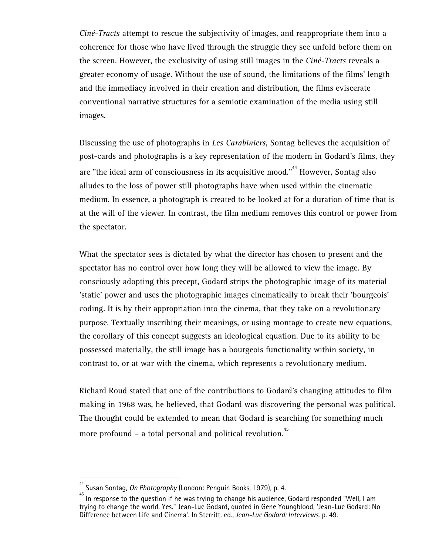*Ciné-Tracts* attempt to rescue the subjectivity of images, and reappropriate them into a coherence for those who have lived through the struggle they see unfold before them on the screen. However, the exclusivity of using still images in the *Ciné-Tracts* reveals a greater economy of usage. Without the use of sound, the limitations of the films' length and the immediacy involved in their creation and distribution, the films eviscerate conventional narrative structures for a semiotic examination of the media using still images.

Discussing the use of photographs in *Les Carabiniers*, Sontag believes the acquisition of post-cards and photographs is a key representation of the modern in Godard's films, they are "the ideal arm of consciousness in its acquisitive mood."<sup>44</sup> However, Sontag also alludes to the loss of power still photographs have when used within the cinematic medium. In essence, a photograph is created to be looked at for a duration of time that is at the will of the viewer. In contrast, the film medium removes this control or power from the spectator.

What the spectator sees is dictated by what the director has chosen to present and the spectator has no control over how long they will be allowed to view the image. By consciously adopting this precept, Godard strips the photographic image of its material 'static' power and uses the photographic images cinematically to break their 'bourgeois' coding. It is by their appropriation into the cinema, that they take on a revolutionary purpose. Textually inscribing their meanings, or using montage to create new equations, the corollary of this concept suggests an ideological equation. Due to its ability to be possessed materially, the still image has a bourgeois functionality within society, in contrast to, or at war with the cinema, which represents a revolutionary medium.

Richard Roud stated that one of the contributions to Godard's changing attitudes to film making in 1968 was, he believed, that Godard was discovering the personal was political. The thought could be extended to mean that Godard is searching for something much more profound – a total personal and political revolution.<sup>45</sup>

<sup>&</sup>lt;sup>44</sup> Susan Sontag, *On Photography* (London: Penguin Books, 1979), p. 4.<br><sup>45</sup> In response to the question if he was trying to change his audience, Godard responded "Well, I am trying to change the world. Yes." Jean-Luc Godard, quoted in Gene Youngblood, 'Jean-Luc Godard: No Difference between Life and Cinema'. In Sterritt. ed., *Jean-Luc Godard: Interviews*. p. 49.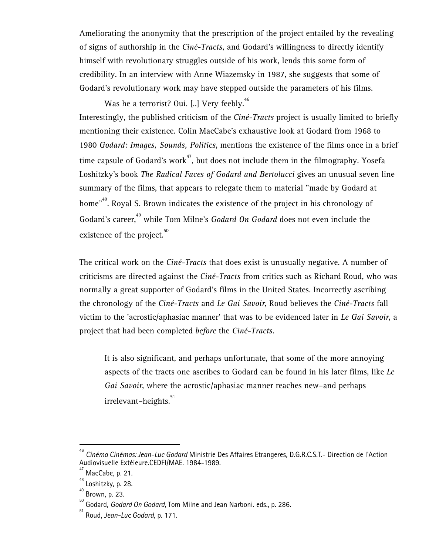Ameliorating the anonymity that the prescription of the project entailed by the revealing of signs of authorship in the *Ciné-Tracts*, and Godard's willingness to directly identify himself with revolutionary struggles outside of his work, lends this some form of credibility. In an interview with Anne Wiazemsky in 1987, she suggests that some of Godard's revolutionary work may have stepped outside the parameters of his films.

Was he a terrorist? Oui. [..] Very feebly.<sup>46</sup> Interestingly, the published criticism of the *Ciné-Tracts* project is usually limited to briefly mentioning their existence. Colin MacCabe's exhaustive look at Godard from 1968 to 1980 *Godard: Images, Sounds, Politics*, mentions the existence of the films once in a brief time capsule of Godard's work<sup>47</sup>, but does not include them in the filmography. Yosefa Loshitzky's book *The Radical Faces of Godard and Bertolucci* gives an unusual seven line summary of the films, that appears to relegate them to material "made by Godard at home"<sup>48</sup>. Royal S. Brown indicates the existence of the project in his chronology of Godard's career,<sup>49</sup> while Tom Milne's *Godard On Godard* does not even include the existence of the project. $50$ 

The critical work on the *Ciné-Tracts* that does exist is unusually negative. A number of criticisms are directed against the *Ciné-Tracts* from critics such as Richard Roud, who was normally a great supporter of Godard's films in the United States. Incorrectly ascribing the chronology of the *Ciné-Tracts* and *Le Gai Savoir*, Roud believes the *Ciné-Tracts* fall victim to the 'acrostic/aphasiac manner' that was to be evidenced later in *Le Gai Savoir*, a project that had been completed *before* the *Ciné-Tracts*.

It is also significant, and perhaps unfortunate, that some of the more annoying aspects of the tracts one ascribes to Godard can be found in his later films, like *Le Gai Savoir*, where the acrostic/aphasiac manner reaches new–and perhaps irrelevant-heights.<sup>51</sup>

<sup>46</sup> *Cinéma Cinémas: Jean-Luc Godard* Ministrie Des Affaires Etrangeres, D.G.R.C.S.T.- Direction de l'Action Audiovisuelle Extéieure.CEDFI/MAE. 1984-1989.

MacCabe, p. 21.

 $^{48}_{49}$  Loshitzky, p. 28.

<sup>49</sup> Brown, p. 23.

<sup>50</sup> Godard, *Godard On Godard*, Tom Milne and Jean Narboni. eds., p. 286. 51 Roud, *Jean-Luc Godard,* p. 171.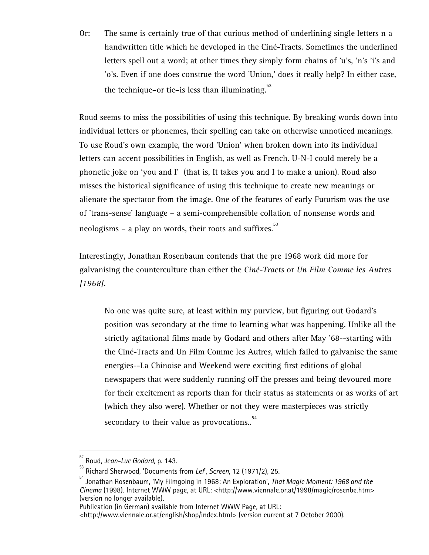Or: The same is certainly true of that curious method of underlining single letters n a handwritten title which he developed in the Ciné-Tracts. Sometimes the underlined letters spell out a word; at other times they simply form chains of 'u's, 'n's 'i's and 'o's. Even if one does construe the word 'Union,' does it really help? In either case, the technique–or tic–is less than illuminating. $52$ 

Roud seems to miss the possibilities of using this technique. By breaking words down into individual letters or phonemes, their spelling can take on otherwise unnoticed meanings. To use Roud's own example, the word 'Union' when broken down into its individual letters can accent possibilities in English, as well as French. U-N-I could merely be a phonetic joke on 'you and I' (that is, It takes you and I to make a union). Roud also misses the historical significance of using this technique to create new meanings or alienate the spectator from the image. One of the features of early Futurism was the use of 'trans-sense' language – a semi-comprehensible collation of nonsense words and neologisms – a play on words, their roots and suffixes.<sup>53</sup>

Interestingly, Jonathan Rosenbaum contends that the pre 1968 work did more for galvanising the counterculture than either the *Ciné-Tracts* or *Un Film Comme les Autres [1968]*.

No one was quite sure, at least within my purview, but figuring out Godard's position was secondary at the time to learning what was happening. Unlike all the strictly agitational films made by Godard and others after May '68--starting with the Ciné-Tract*s* and Un Film Comme les Autre*s*, which failed to galvanise the same energies--La Chinoise and Weekend were exciting first editions of global newspapers that were suddenly running off the presses and being devoured more for their excitement as reports than for their status as statements or as works of art (which they also were). Whether or not they were masterpieces was strictly secondary to their value as provocations..<sup>54</sup>

<sup>52</sup> Roud, *Jean-Luc Godard,* p. 143. 53 Richard Sherwood, 'Documents from *Lef*', *Screen*, 12 (1971/2), 25. 54 Jonathan Rosenbaum, 'My Filmgoing in 1968: An Exploration', *That Magic Moment: 1968 and the Cinema* (1998). Internet WWW page, at URL: <http://www.viennale.or.at/1998/magic/rosenbe.htm> (version no longer available).

Publication (in German) available from Internet WWW Page, at URL:

<sup>&</sup>lt;http://www.viennale.or.at/english/shop/index.html> (version current at 7 October 2000).